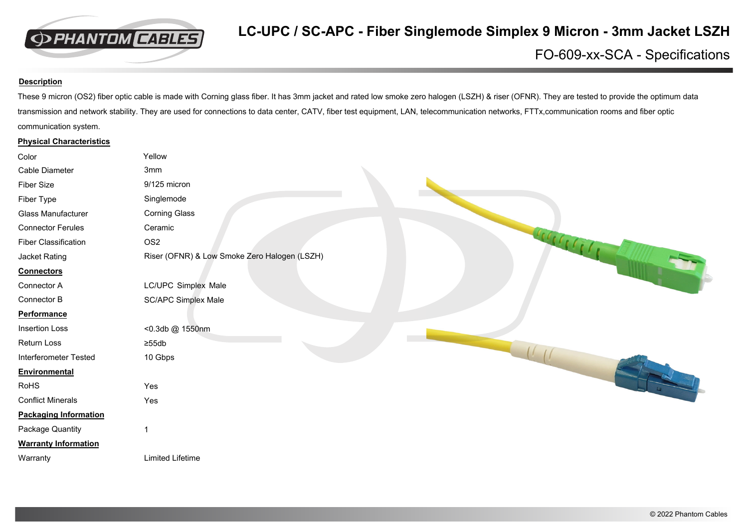

## FO-609-xx-SCA - Specifications

## **Description**

These 9 micron (OS2) fiber optic cable is made with Corning glass fiber. It has 3mm jacket and rated low smoke zero halogen (LSZH) & riser (OFNR). They are tested to provide the optimum data transmission and network stability. They are used for connections to data center, CATV, fiber test equipment, LAN, telecommunication networks, FTTx,communication rooms and fiber optic communication system.

## **Physical Characteristics**

| Color                        | Yellow                                       |
|------------------------------|----------------------------------------------|
| Cable Diameter               | 3mm                                          |
| Fiber Size                   | 9/125 micron                                 |
| Fiber Type                   | Singlemode                                   |
| Glass Manufacturer           | <b>Corning Glass</b>                         |
| <b>Connector Ferules</b>     | Ceramic                                      |
| <b>Fiber Classification</b>  | Belletil<br>OS <sub>2</sub>                  |
| Jacket Rating                | Riser (OFNR) & Low Smoke Zero Halogen (LSZH) |
| <b>Connectors</b>            |                                              |
| Connector A                  | LC/UPC Simplex Male                          |
| Connector B                  | <b>SC/APC Simplex Male</b>                   |
| <b>Performance</b>           |                                              |
| <b>Insertion Loss</b>        | <0.3db @ 1550nm                              |
| Return Loss                  | $\geq 55$ db                                 |
| Interferometer Tested        | 10 Gbps                                      |
| Environmental                |                                              |
| RoHS                         | Yes                                          |
| <b>Conflict Minerals</b>     | Yes                                          |
| <b>Packaging Information</b> |                                              |
| Package Quantity             |                                              |
| <b>Warranty Information</b>  |                                              |
| Warranty                     | <b>Limited Lifetime</b>                      |